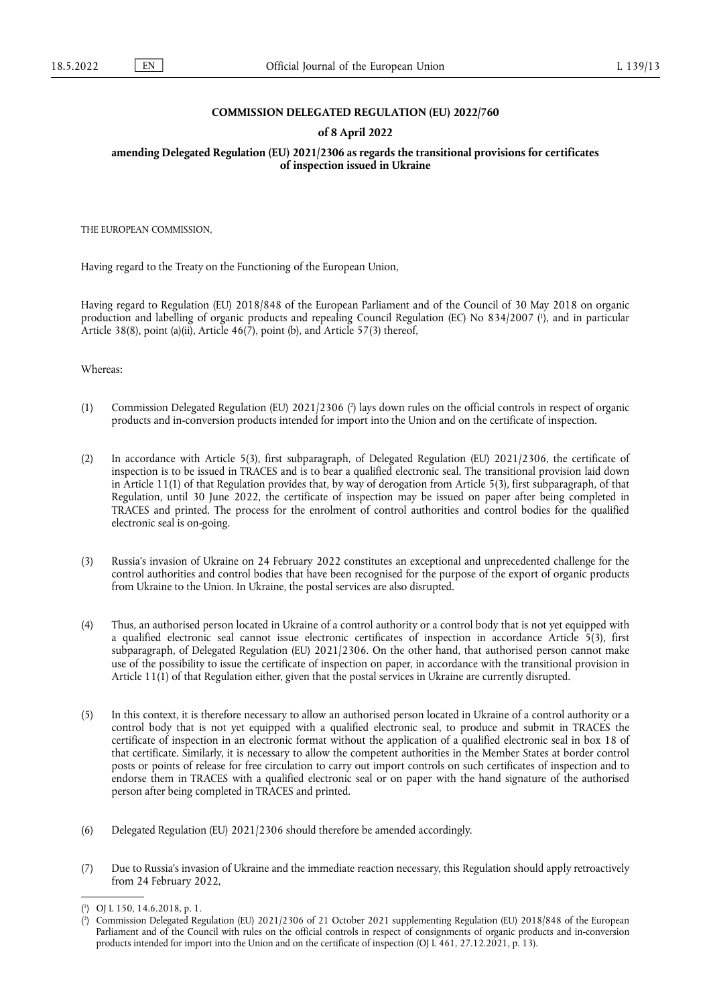## **COMMISSION DELEGATED REGULATION (EU) 2022/760**

### **of 8 April 2022**

**amending Delegated Regulation (EU) 2021/2306 as regards the transitional provisions for certificates of inspection issued in Ukraine** 

THE EUROPEAN COMMISSION,

Having regard to the Treaty on the Functioning of the European Union,

<span id="page-0-2"></span>Having regard to Regulation (EU) 2018/848 of the European Parliament and of the Council of 30 May 2018 on organic production and labelling of organic products and repealing Council Regulation (EC) No 834/2007 ( 1 [\),](#page-0-0) and in particular Article 38(8), point (a)(ii), Article 46(7), point (b), and Article 57(3) thereof,

Whereas:

- <span id="page-0-3"></span>(1) Commission Delegated Regulation (EU) 2021/2306 [\(](#page-0-1) 2 ) lays down rules on the official controls in respect of organic products and in-conversion products intended for import into the Union and on the certificate of inspection.
- (2) In accordance with Article 5(3), first subparagraph, of Delegated Regulation (EU) 2021/2306, the certificate of inspection is to be issued in TRACES and is to bear a qualified electronic seal. The transitional provision laid down in Article 11(1) of that Regulation provides that, by way of derogation from Article 5(3), first subparagraph, of that Regulation, until 30 June 2022, the certificate of inspection may be issued on paper after being completed in TRACES and printed. The process for the enrolment of control authorities and control bodies for the qualified electronic seal is on-going.
- (3) Russia's invasion of Ukraine on 24 February 2022 constitutes an exceptional and unprecedented challenge for the control authorities and control bodies that have been recognised for the purpose of the export of organic products from Ukraine to the Union. In Ukraine, the postal services are also disrupted.
- (4) Thus, an authorised person located in Ukraine of a control authority or a control body that is not yet equipped with a qualified electronic seal cannot issue electronic certificates of inspection in accordance Article 5(3), first subparagraph, of Delegated Regulation (EU) 2021/2306. On the other hand, that authorised person cannot make use of the possibility to issue the certificate of inspection on paper, in accordance with the transitional provision in Article 11(1) of that Regulation either, given that the postal services in Ukraine are currently disrupted.
- (5) In this context, it is therefore necessary to allow an authorised person located in Ukraine of a control authority or a control body that is not yet equipped with a qualified electronic seal, to produce and submit in TRACES the certificate of inspection in an electronic format without the application of a qualified electronic seal in box 18 of that certificate. Similarly, it is necessary to allow the competent authorities in the Member States at border control posts or points of release for free circulation to carry out import controls on such certificates of inspection and to endorse them in TRACES with a qualified electronic seal or on paper with the hand signature of the authorised person after being completed in TRACES and printed.
- (6) Delegated Regulation (EU) 2021/2306 should therefore be amended accordingly.
- (7) Due to Russia's invasion of Ukraine and the immediate reaction necessary, this Regulation should apply retroactively from 24 February 2022,

<span id="page-0-0"></span>[<sup>\(</sup>](#page-0-2) 1 ) OJ L 150, 14.6.2018, p. 1.

<span id="page-0-1"></span>[<sup>\(</sup>](#page-0-3) 2 ) Commission Delegated Regulation (EU) 2021/2306 of 21 October 2021 supplementing Regulation (EU) 2018/848 of the European Parliament and of the Council with rules on the official controls in respect of consignments of organic products and in-conversion products intended for import into the Union and on the certificate of inspection (OJ L 461, 27.12.2021, p. 13).